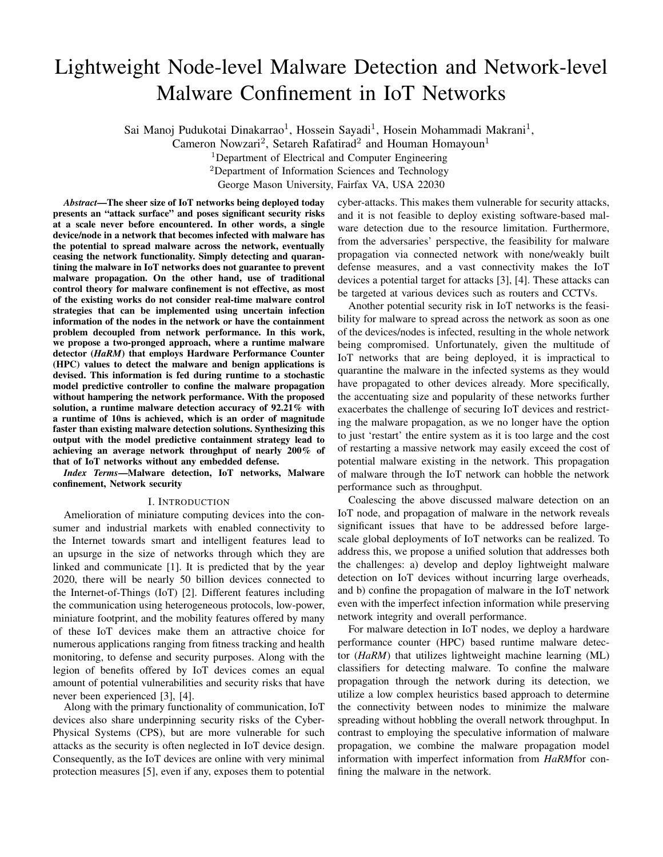# Lightweight Node-level Malware Detection and Network-level Malware Confinement in IoT Networks

Sai Manoj Pudukotai Dinakarrao<sup>1</sup>, Hossein Sayadi<sup>1</sup>, Hosein Mohammadi Makrani<sup>1</sup>,

Cameron Nowzari<sup>2</sup>, Setareh Rafatirad<sup>2</sup> and Houman Homayoun<sup>1</sup>

<sup>1</sup>Department of Electrical and Computer Engineering

<sup>2</sup>Department of Information Sciences and Technology

George Mason University, Fairfax VA, USA 22030

*Abstract*—The sheer size of IoT networks being deployed today presents an "attack surface" and poses significant security risks at a scale never before encountered. In other words, a single device/node in a network that becomes infected with malware has the potential to spread malware across the network, eventually ceasing the network functionality. Simply detecting and quarantining the malware in IoT networks does not guarantee to prevent malware propagation. On the other hand, use of traditional control theory for malware confinement is not effective, as most of the existing works do not consider real-time malware control strategies that can be implemented using uncertain infection information of the nodes in the network or have the containment problem decoupled from network performance. In this work, we propose a two-pronged approach, where a runtime malware detector (*HaRM*) that employs Hardware Performance Counter (HPC) values to detect the malware and benign applications is devised. This information is fed during runtime to a stochastic model predictive controller to confine the malware propagation without hampering the network performance. With the proposed solution, a runtime malware detection accuracy of 92.21% with a runtime of 10ns is achieved, which is an order of magnitude faster than existing malware detection solutions. Synthesizing this output with the model predictive containment strategy lead to achieving an average network throughput of nearly 200% of that of IoT networks without any embedded defense.

*Index Terms*—Malware detection, IoT networks, Malware confinement, Network security

## I. INTRODUCTION

Amelioration of miniature computing devices into the consumer and industrial markets with enabled connectivity to the Internet towards smart and intelligent features lead to an upsurge in the size of networks through which they are linked and communicate [1]. It is predicted that by the year 2020, there will be nearly 50 billion devices connected to the Internet-of-Things (IoT) [2]. Different features including the communication using heterogeneous protocols, low-power, miniature footprint, and the mobility features offered by many of these IoT devices make them an attractive choice for numerous applications ranging from fitness tracking and health monitoring, to defense and security purposes. Along with the legion of benefits offered by IoT devices comes an equal amount of potential vulnerabilities and security risks that have never been experienced [3], [4].

Along with the primary functionality of communication, IoT devices also share underpinning security risks of the Cyber-Physical Systems (CPS), but are more vulnerable for such attacks as the security is often neglected in IoT device design. Consequently, as the IoT devices are online with very minimal protection measures [5], even if any, exposes them to potential cyber-attacks. This makes them vulnerable for security attacks, and it is not feasible to deploy existing software-based malware detection due to the resource limitation. Furthermore, from the adversaries' perspective, the feasibility for malware propagation via connected network with none/weakly built defense measures, and a vast connectivity makes the IoT devices a potential target for attacks [3], [4]. These attacks can be targeted at various devices such as routers and CCTVs.

Another potential security risk in IoT networks is the feasibility for malware to spread across the network as soon as one of the devices/nodes is infected, resulting in the whole network being compromised. Unfortunately, given the multitude of IoT networks that are being deployed, it is impractical to quarantine the malware in the infected systems as they would have propagated to other devices already. More specifically, the accentuating size and popularity of these networks further exacerbates the challenge of securing IoT devices and restricting the malware propagation, as we no longer have the option to just 'restart' the entire system as it is too large and the cost of restarting a massive network may easily exceed the cost of potential malware existing in the network. This propagation of malware through the IoT network can hobble the network performance such as throughput.

Coalescing the above discussed malware detection on an IoT node, and propagation of malware in the network reveals significant issues that have to be addressed before largescale global deployments of IoT networks can be realized. To address this, we propose a unified solution that addresses both the challenges: a) develop and deploy lightweight malware detection on IoT devices without incurring large overheads, and b) confine the propagation of malware in the IoT network even with the imperfect infection information while preserving network integrity and overall performance.

For malware detection in IoT nodes, we deploy a hardware performance counter (HPC) based runtime malware detector (*HaRM*) that utilizes lightweight machine learning (ML) classifiers for detecting malware. To confine the malware propagation through the network during its detection, we utilize a low complex heuristics based approach to determine the connectivity between nodes to minimize the malware spreading without hobbling the overall network throughput. In contrast to employing the speculative information of malware propagation, we combine the malware propagation model information with imperfect information from *HaRM*for confining the malware in the network.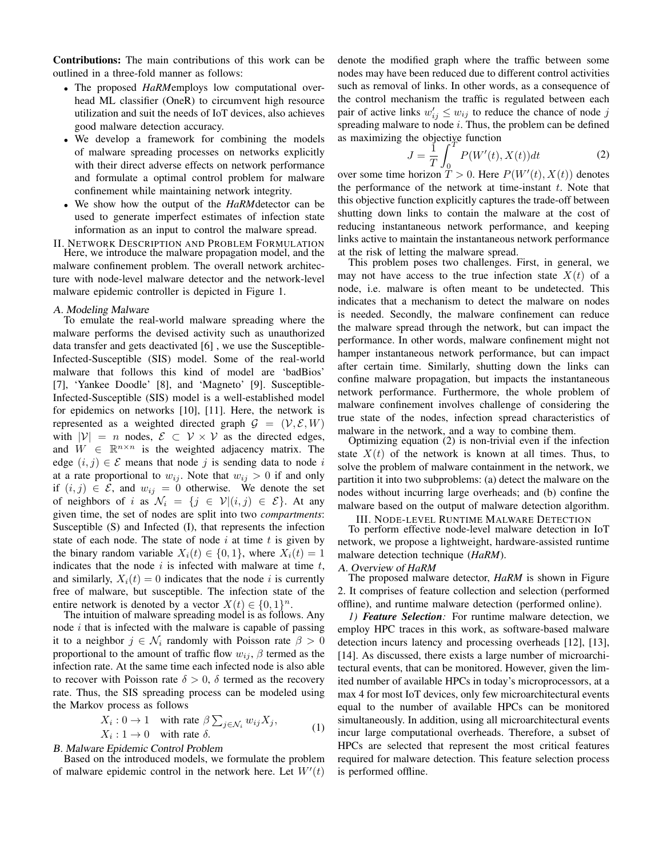Contributions: The main contributions of this work can be outlined in a three-fold manner as follows:

- The proposed *HaRM*employs low computational overhead ML classifier (OneR) to circumvent high resource utilization and suit the needs of IoT devices, also achieves good malware detection accuracy.
- We develop a framework for combining the models of malware spreading processes on networks explicitly with their direct adverse effects on network performance and formulate a optimal control problem for malware confinement while maintaining network integrity.
- We show how the output of the *HaRM*detector can be used to generate imperfect estimates of infection state information as an input to control the malware spread.

II. NETWORK DESCRIPTION AND PROBLEM FORMULATION Here, we introduce the malware propagation model, and the malware confinement problem. The overall network architecture with node-level malware detector and the network-level malware epidemic controller is depicted in Figure 1.

## A. Modeling Malware

To emulate the real-world malware spreading where the malware performs the devised activity such as unauthorized data transfer and gets deactivated [6] , we use the Susceptible-Infected-Susceptible (SIS) model. Some of the real-world malware that follows this kind of model are 'badBios' [7], 'Yankee Doodle' [8], and 'Magneto' [9]. Susceptible-Infected-Susceptible (SIS) model is a well-established model for epidemics on networks [10], [11]. Here, the network is represented as a weighted directed graph  $\mathcal{G} = (\mathcal{V}, \mathcal{E}, W)$ with  $|V| = n$  nodes,  $\mathcal{E} \subset V \times V$  as the directed edges, and  $W \in \mathbb{R}^{n \times n}$  is the weighted adjacency matrix. The edge  $(i, j) \in \mathcal{E}$  means that node j is sending data to node i at a rate proportional to  $w_{ij}$ . Note that  $w_{ij} > 0$  if and only if  $(i, j) \in \mathcal{E}$ , and  $w_{ij} = 0$  otherwise. We denote the set of neighbors of i as  $\mathcal{N}_i = \{j \in \mathcal{V} | (i,j) \in \mathcal{E} \}$ . At any given time, the set of nodes are split into two *compartments*: Susceptible (S) and Infected (I), that represents the infection state of each node. The state of node  $i$  at time  $t$  is given by the binary random variable  $X_i(t) \in \{0, 1\}$ , where  $X_i(t) = 1$ indicates that the node  $i$  is infected with malware at time  $t$ , and similarly,  $X_i(t) = 0$  indicates that the node i is currently free of malware, but susceptible. The infection state of the entire network is denoted by a vector  $X(t) \in \{0, 1\}^n$ .

The intuition of malware spreading model is as follows. Any node  $i$  that is infected with the malware is capable of passing it to a neighbor  $j \in \mathcal{N}_i$  randomly with Poisson rate  $\beta > 0$ proportional to the amount of traffic flow  $w_{ij}$ ,  $\beta$  termed as the infection rate. At the same time each infected node is also able to recover with Poisson rate  $\delta > 0$ ,  $\delta$  termed as the recovery rate. Thus, the SIS spreading process can be modeled using the Markov process as follows

$$
X_i: 0 \to 1 \quad \text{with rate } \beta \sum_{j \in \mathcal{N}_i} w_{ij} X_j,
$$
  

$$
X_i: 1 \to 0 \quad \text{with rate } \delta.
$$
 (1)

B. Malware Epidemic Control Problem

Based on the introduced models, we formulate the problem of malware epidemic control in the network here. Let  $W'(t)$  denote the modified graph where the traffic between some nodes may have been reduced due to different control activities such as removal of links. In other words, as a consequence of the control mechanism the traffic is regulated between each pair of active links  $w'_{ij} \leq w_{ij}$  to reduce the chance of node j spreading malware to node  $i$ . Thus, the problem can be defined as maximizing the objective function

$$
J = \frac{1}{T} \int_0^T P(W'(t), X(t)) dt
$$
 (2)

over some time horizon  $T > 0$ . Here  $P(W'(t), X(t))$  denotes the performance of the network at time-instant  $t$ . Note that this objective function explicitly captures the trade-off between shutting down links to contain the malware at the cost of reducing instantaneous network performance, and keeping links active to maintain the instantaneous network performance at the risk of letting the malware spread.

This problem poses two challenges. First, in general, we may not have access to the true infection state  $X(t)$  of a node, i.e. malware is often meant to be undetected. This indicates that a mechanism to detect the malware on nodes is needed. Secondly, the malware confinement can reduce the malware spread through the network, but can impact the performance. In other words, malware confinement might not hamper instantaneous network performance, but can impact after certain time. Similarly, shutting down the links can confine malware propagation, but impacts the instantaneous network performance. Furthermore, the whole problem of malware confinement involves challenge of considering the true state of the nodes, infection spread characteristics of malware in the network, and a way to combine them.

Optimizing equation (2) is non-trivial even if the infection state  $X(t)$  of the network is known at all times. Thus, to solve the problem of malware containment in the network, we partition it into two subproblems: (a) detect the malware on the nodes without incurring large overheads; and (b) confine the malware based on the output of malware detection algorithm.

III. NODE-LEVEL RUNTIME MALWARE DETECTION

To perform effective node-level malware detection in IoT network, we propose a lightweight, hardware-assisted runtime malware detection technique (*HaRM*).

## A. Overview of *HaRM*

The proposed malware detector, *HaRM* is shown in Figure 2. It comprises of feature collection and selection (performed offline), and runtime malware detection (performed online).

*1) Feature Selection:* For runtime malware detection, we employ HPC traces in this work, as software-based malware detection incurs latency and processing overheads [12], [13], [14]. As discussed, there exists a large number of microarchitectural events, that can be monitored. However, given the limited number of available HPCs in today's microprocessors, at a max 4 for most IoT devices, only few microarchitectural events equal to the number of available HPCs can be monitored simultaneously. In addition, using all microarchitectural events incur large computational overheads. Therefore, a subset of HPCs are selected that represent the most critical features required for malware detection. This feature selection process is performed offline.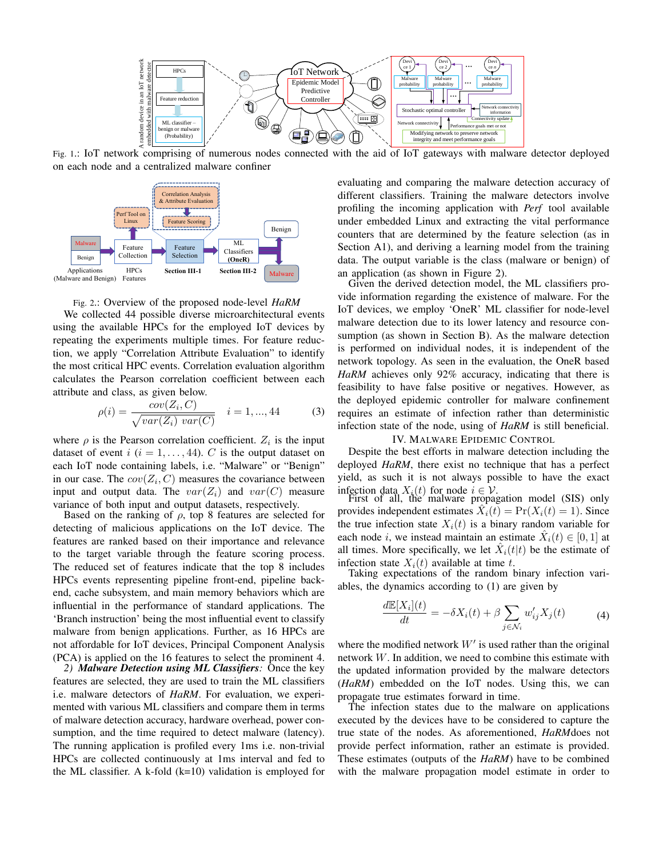

Fig. 1.: IoT network comprising of numerous nodes connected with the aid of IoT gateways with malware detector deployed on each node and a centralized malware confiner





We collected 44 possible diverse microarchitectural events using the available HPCs for the employed IoT devices by repeating the experiments multiple times. For feature reduction, we apply "Correlation Attribute Evaluation" to identify the most critical HPC events. Correlation evaluation algorithm calculates the Pearson correlation coefficient between each attribute and class, as given below.

$$
\rho(i) = \frac{cov(Z_i, C)}{\sqrt{var(Z_i) var(C)}} \quad i = 1, ..., 44
$$
 (3)

where  $\rho$  is the Pearson correlation coefficient.  $Z_i$  is the input dataset of event  $i$  ( $i = 1, \ldots, 44$ ). C is the output dataset on each IoT node containing labels, i.e. "Malware" or "Benign" in our case. The  $cov(Z_i, C)$  measures the covariance between input and output data. The  $var(Z_i)$  and  $var(C)$  measure variance of both input and output datasets, respectively.

Based on the ranking of  $\rho$ , top 8 features are selected for detecting of malicious applications on the IoT device. The features are ranked based on their importance and relevance to the target variable through the feature scoring process. The reduced set of features indicate that the top 8 includes HPCs events representing pipeline front-end, pipeline backend, cache subsystem, and main memory behaviors which are influential in the performance of standard applications. The 'Branch instruction' being the most influential event to classify malware from benign applications. Further, as 16 HPCs are not affordable for IoT devices, Principal Component Analysis (PCA) is applied on the 16 features to select the prominent 4.

*2) Malware Detection using ML Classifiers:* Once the key features are selected, they are used to train the ML classifiers i.e. malware detectors of *HaRM*. For evaluation, we experimented with various ML classifiers and compare them in terms of malware detection accuracy, hardware overhead, power consumption, and the time required to detect malware (latency). The running application is profiled every 1ms i.e. non-trivial HPCs are collected continuously at 1ms interval and fed to the ML classifier. A k-fold  $(k=10)$  validation is employed for evaluating and comparing the malware detection accuracy of different classifiers. Training the malware detectors involve profiling the incoming application with *Perf* tool available under embedded Linux and extracting the vital performance counters that are determined by the feature selection (as in Section A1), and deriving a learning model from the training data. The output variable is the class (malware or benign) of an application (as shown in Figure 2).

Given the derived detection model, the ML classifiers provide information regarding the existence of malware. For the IoT devices, we employ 'OneR' ML classifier for node-level malware detection due to its lower latency and resource consumption (as shown in Section B). As the malware detection is performed on individual nodes, it is independent of the network topology. As seen in the evaluation, the OneR based *HaRM* achieves only 92% accuracy, indicating that there is feasibility to have false positive or negatives. However, as the deployed epidemic controller for malware confinement requires an estimate of infection rather than deterministic infection state of the node, using of *HaRM* is still beneficial.

## IV. MALWARE EPIDEMIC CONTROL

Despite the best efforts in malware detection including the deployed *HaRM*, there exist no technique that has a perfect yield, as such it is not always possible to have the exact infection data  $X_i(t)$  for node  $i \in V$ .<br>First of all, the malware propagation model (SIS) only

provides independent estimates  $\hat{X}_i(t) = \Pr(X_i(t) = 1)$ . Since the true infection state  $X_i(t)$  is a binary random variable for each node *i*, we instead maintain an estimate  $\hat{X}_i(t) \in [0, 1]$  at all times. More specifically, we let  $\hat{X}_i(t|t)$  be the estimate of infection state  $X_i(t)$  available at time t.

Taking expectations of the random binary infection variables, the dynamics according to (1) are given by

$$
\frac{d\mathbb{E}[X_i](t)}{dt} = -\delta X_i(t) + \beta \sum_{j \in \mathcal{N}_i} w'_{ij} X_j(t) \tag{4}
$$

where the modified network  $W'$  is used rather than the original network W. In addition, we need to combine this estimate with the updated information provided by the malware detectors (*HaRM*) embedded on the IoT nodes. Using this, we can propagate true estimates forward in time.

The infection states due to the malware on applications executed by the devices have to be considered to capture the true state of the nodes. As aforementioned, *HaRM*does not provide perfect information, rather an estimate is provided. These estimates (outputs of the *HaRM*) have to be combined with the malware propagation model estimate in order to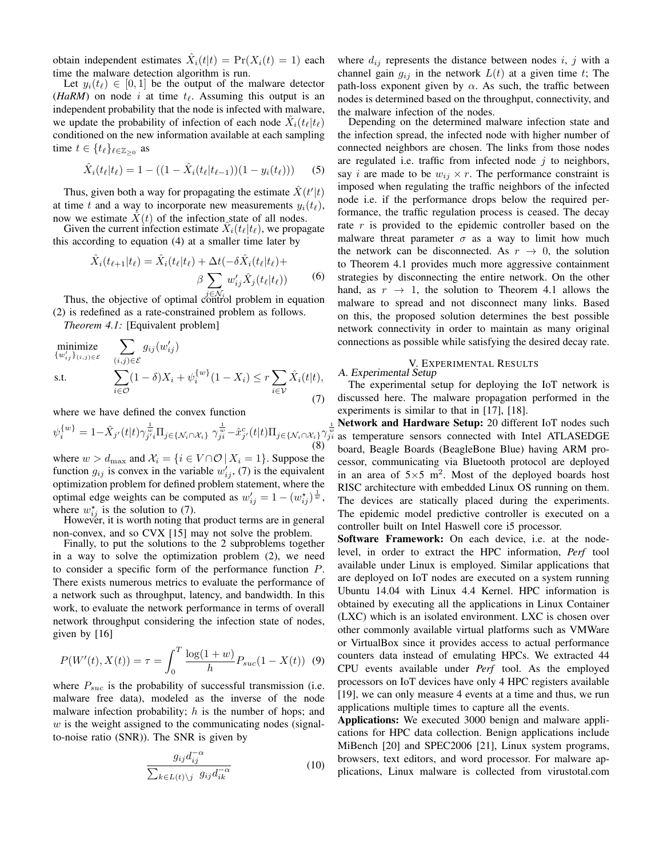obtain independent estimates  $\hat{X}_i(t|t) = \Pr(X_i(t) = 1)$  each time the malware detection algorithm is run.

Let  $y_i(t_\ell) \in [0, 1]$  be the output of the malware detector (*HaRM*) on node i at time  $t_{\ell}$ . Assuming this output is an independent probability that the node is infected with malware, we update the probability of infection of each node  $\hat{X}_i(t_\ell|t_\ell)$ conditioned on the new information available at each sampling time  $t \in \{t_\ell\}_{\ell \in \mathbb{Z}_{\geq 0}}$  as

$$
\hat{X}_i(t_\ell|t_\ell) = 1 - ((1 - \hat{X}_i(t_\ell|t_{\ell-1}))(1 - y_i(t_\ell))) \tag{5}
$$

Thus, given both a way for propagating the estimate  $\hat{X}(t'|t)$ at time t and a way to incorporate new measurements  $y_i(t_\ell)$ , now we estimate  $\hat{X}(t)$  of the infection state of all nodes.

Given the current infection estimate  $\hat{X}_i(t_\ell|t_\ell)$ , we propagate this according to equation (4) at a smaller time later by

$$
\hat{X}_i(t_{\ell+1}|t_{\ell}) = \hat{X}_i(t_{\ell}|t_{\ell}) + \Delta t(-\delta \hat{X}_i(t_{\ell}|t_{\ell}) +
$$
\n
$$
\beta \sum_{i \to i'} w'_{ij} \hat{X}_j(t_{\ell}|t_{\ell})
$$
\n(6)

Thus, the objective of optimal control problem in equation (2) is redefined as a rate-constrained problem as follows.

*Theorem 4.1:* [Equivalent problem]

$$
\begin{array}{ll}\n\text{minimize} & \sum_{\{u'_{ij}\}_{(i,j)\in\mathcal{E}}} g_{ij}(w'_{ij}) \\
\text{s.t.} & \sum_{i\in\mathcal{O}} (1-\delta)X_i + \psi_i^{\{w\}}(1-X_i) \leq r \sum_{i\in\mathcal{V}} \hat{X}_i(t|t),\n\end{array} \tag{7}
$$

where we have defined the convex function

$$
\psi_i^{\{w\}} = 1 - \hat{X}_{j'}(t|t)\gamma_{j'i}^{\frac{1}{w}} \Pi_{j \in \{\mathcal{N}_i \cap \mathcal{X}_i\}} \gamma_{ji}^{\frac{1}{w}} - \hat{x}_{j'}^c(t|t)\Pi_{j \in \{\mathcal{N}_i \cap \mathcal{X}_i\}} \gamma_{ji}^{\frac{1}{w}} \tag{8}
$$

where  $w > d_{\text{max}}$  and  $\mathcal{X}_i = \{i \in V \cap \mathcal{O} \mid X_i = 1\}$ . Suppose the function  $g_{ij}$  is convex in the variable  $w'_{ij}$ , (7) is the equivalent optimization problem for defined problem statement, where the optimal edge weights can be computed as  $w'_{ij} = 1 - (w_{ij}^*)^{\frac{1}{w}}$ , where  $w_{ij}^*$  is the solution to (7).

However, it is worth noting that product terms are in general non-convex, and so CVX [15] may not solve the problem.

Finally, to put the solutions to the 2 subproblems together in a way to solve the optimization problem (2), we need to consider a specific form of the performance function P. There exists numerous metrics to evaluate the performance of a network such as throughput, latency, and bandwidth. In this work, to evaluate the network performance in terms of overall network throughput considering the infection state of nodes, given by [16]

$$
P(W'(t), X(t)) = \tau = \int_0^T \frac{\log(1+w)}{h} P_{suc}(1 - X(t)) \tag{9}
$$

where  $P_{suc}$  is the probability of successful transmission (i.e. malware free data), modeled as the inverse of the node malware infection probability;  $h$  is the number of hops; and  $w$  is the weight assigned to the communicating nodes (signalto-noise ratio (SNR)). The SNR is given by

$$
\frac{g_{ij}d_{ij}^{-\alpha}}{\sum_{k\in L(t)\backslash j} g_{ij}d_{ik}^{-\alpha}}
$$
\n(10)

where  $d_{ij}$  represents the distance between nodes i, j with a channel gain  $g_{ij}$  in the network  $L(t)$  at a given time t; The path-loss exponent given by  $\alpha$ . As such, the traffic between nodes is determined based on the throughput, connectivity, and the malware infection of the nodes.

Depending on the determined malware infection state and the infection spread, the infected node with higher number of connected neighbors are chosen. The links from those nodes are regulated i.e. traffic from infected node  $j$  to neighbors, say *i* are made to be  $w_{ij} \times r$ . The performance constraint is imposed when regulating the traffic neighbors of the infected node i.e. if the performance drops below the required performance, the traffic regulation process is ceased. The decay rate r is provided to the epidemic controller based on the malware threat parameter  $\sigma$  as a way to limit how much the network can be disconnected. As  $r \to 0$ , the solution to Theorem 4.1 provides much more aggressive containment strategies by disconnecting the entire network. On the other hand, as  $r \rightarrow 1$ , the solution to Theorem 4.1 allows the malware to spread and not disconnect many links. Based on this, the proposed solution determines the best possible network connectivity in order to maintain as many original connections as possible while satisfying the desired decay rate.

# V. EXPERIMENTAL RESULTS

A. Experimental Setup

The experimental setup for deploying the IoT network is discussed here. The malware propagation performed in the experiments is similar to that in [17], [18].

 $\frac{1}{w}$  Network and Hardware Setup: 20 different IoT nodes such as temperature sensors connected with Intel ATLASEDGE board, Beagle Boards (BeagleBone Blue) having ARM processor, communicating via Bluetooth protocol are deployed in an area of  $5 \times 5$  m<sup>2</sup>. Most of the deployed boards host RISC architecture with embedded Linux OS running on them. The devices are statically placed during the experiments. The epidemic model predictive controller is executed on a controller built on Intel Haswell core i5 processor.

Software Framework: On each device, i.e. at the nodelevel, in order to extract the HPC information, *Perf* tool available under Linux is employed. Similar applications that are deployed on IoT nodes are executed on a system running Ubuntu 14.04 with Linux 4.4 Kernel. HPC information is obtained by executing all the applications in Linux Container (LXC) which is an isolated environment. LXC is chosen over other commonly available virtual platforms such as VMWare or VirtualBox since it provides access to actual performance counters data instead of emulating HPCs. We extracted 44 CPU events available under *Perf* tool. As the employed processors on IoT devices have only 4 HPC registers available [19], we can only measure 4 events at a time and thus, we run applications multiple times to capture all the events.

Applications: We executed 3000 benign and malware applications for HPC data collection. Benign applications include MiBench [20] and SPEC2006 [21], Linux system programs, browsers, text editors, and word processor. For malware applications, Linux malware is collected from virustotal.com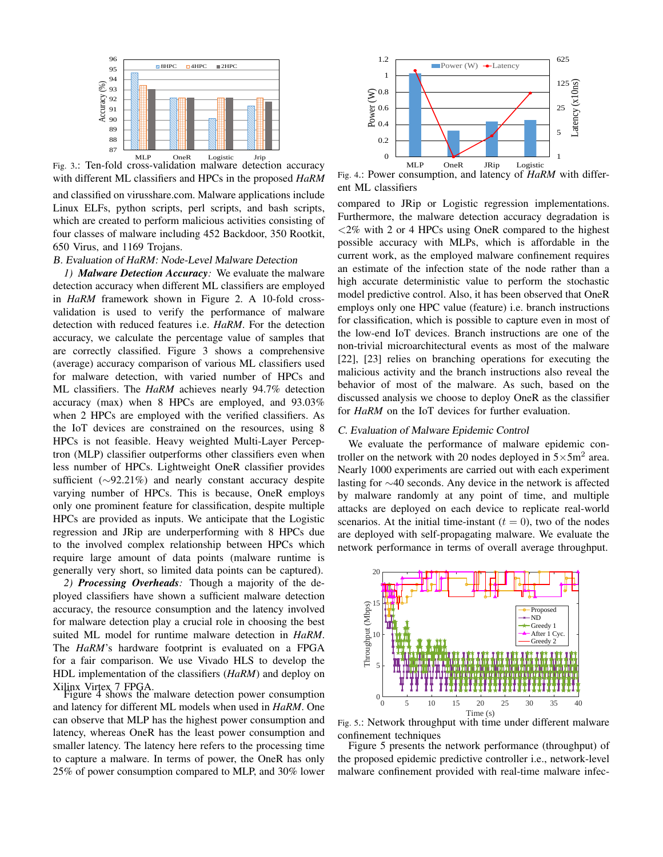

Fig. 3.: Ten-fold cross-validation malware detection accuracy with different ML classifiers and HPCs in the proposed *HaRM*

and classified on virusshare.com. Malware applications include Linux ELFs, python scripts, perl scripts, and bash scripts, which are created to perform malicious activities consisting of four classes of malware including 452 Backdoor, 350 Rootkit, 650 Virus, and 1169 Trojans.

## B. Evaluation of *HaRM*: Node-Level Malware Detection

*1) Malware Detection Accuracy:* We evaluate the malware detection accuracy when different ML classifiers are employed in *HaRM* framework shown in Figure 2. A 10-fold crossvalidation is used to verify the performance of malware detection with reduced features i.e. *HaRM*. For the detection accuracy, we calculate the percentage value of samples that are correctly classified. Figure 3 shows a comprehensive (average) accuracy comparison of various ML classifiers used for malware detection, with varied number of HPCs and ML classifiers. The *HaRM* achieves nearly 94.7% detection accuracy (max) when 8 HPCs are employed, and 93.03% when 2 HPCs are employed with the verified classifiers. As the IoT devices are constrained on the resources, using 8 HPCs is not feasible. Heavy weighted Multi-Layer Perceptron (MLP) classifier outperforms other classifiers even when less number of HPCs. Lightweight OneR classifier provides sufficient (∼92.21%) and nearly constant accuracy despite varying number of HPCs. This is because, OneR employs only one prominent feature for classification, despite multiple HPCs are provided as inputs. We anticipate that the Logistic regression and JRip are underperforming with 8 HPCs due to the involved complex relationship between HPCs which require large amount of data points (malware runtime is generally very short, so limited data points can be captured).

*2) Processing Overheads:* Though a majority of the deployed classifiers have shown a sufficient malware detection accuracy, the resource consumption and the latency involved for malware detection play a crucial role in choosing the best suited ML model for runtime malware detection in *HaRM*. The *HaRM*'s hardware footprint is evaluated on a FPGA for a fair comparison. We use Vivado HLS to develop the HDL implementation of the classifiers (*HaRM*) and deploy on

Xilinx Virtex 7 FPGA. Figure 4 shows the malware detection power consumption and latency for different ML models when used in *HaRM*. One can observe that MLP has the highest power consumption and latency, whereas OneR has the least power consumption and smaller latency. The latency here refers to the processing time to capture a malware. In terms of power, the OneR has only 25% of power consumption compared to MLP, and 30% lower



Fig. 4.: Power consumption, and latency of *HaRM* with different ML classifiers

compared to JRip or Logistic regression implementations. Furthermore, the malware detection accuracy degradation is <2% with 2 or 4 HPCs using OneR compared to the highest possible accuracy with MLPs, which is affordable in the current work, as the employed malware confinement requires an estimate of the infection state of the node rather than a high accurate deterministic value to perform the stochastic model predictive control. Also, it has been observed that OneR employs only one HPC value (feature) i.e. branch instructions for classification, which is possible to capture even in most of the low-end IoT devices. Branch instructions are one of the non-trivial microarchitectural events as most of the malware [22], [23] relies on branching operations for executing the malicious activity and the branch instructions also reveal the behavior of most of the malware. As such, based on the discussed analysis we choose to deploy OneR as the classifier for *HaRM* on the IoT devices for further evaluation.

## C. Evaluation of Malware Epidemic Control

We evaluate the performance of malware epidemic controller on the network with 20 nodes deployed in  $5 \times 5$ m<sup>2</sup> area. Nearly 1000 experiments are carried out with each experiment lasting for ∼40 seconds. Any device in the network is affected by malware randomly at any point of time, and multiple attacks are deployed on each device to replicate real-world scenarios. At the initial time-instant  $(t = 0)$ , two of the nodes are deployed with self-propagating malware. We evaluate the network performance in terms of overall average throughput.



Fig. 5.: Network throughput with time under different malware confinement techniques

Figure 5 presents the network performance (throughput) of the proposed epidemic predictive controller i.e., network-level malware confinement provided with real-time malware infec-